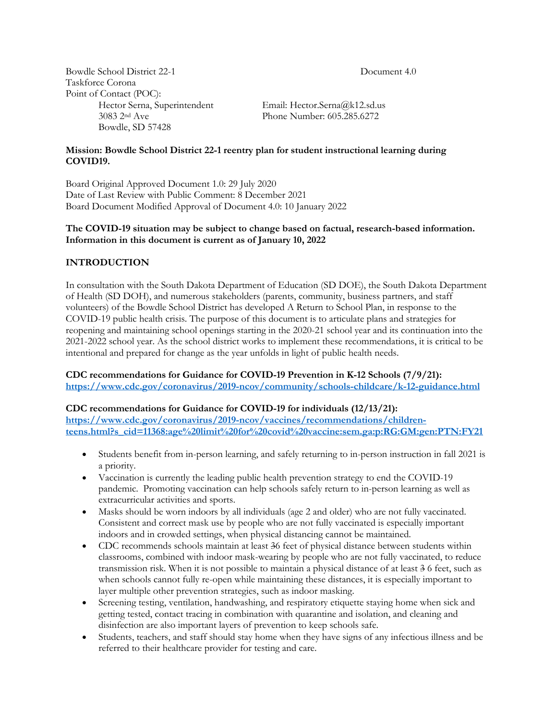Bowdle School District 22-1 Document 4.0 Taskforce Corona Point of Contact (POC):<br>Hector Serna, Superintendent Bowdle, SD 57428

Email: Hector.Serna@k12.sd.us 3083 2nd Ave Phone Number: 605.285.6272

### **Mission: Bowdle School District 22-1 reentry plan for student instructional learning during COVID19.**

Board Original Approved Document 1.0: 29 July 2020 Date of Last Review with Public Comment: 8 December 2021 Board Document Modified Approval of Document 4.0: 10 January 2022

### **The COVID-19 situation may be subject to change based on factual, research-based information. Information in this document is current as of January 10, 2022**

# **INTRODUCTION**

In consultation with the South Dakota Department of Education (SD DOE), the South Dakota Department of Health (SD DOH), and numerous stakeholders (parents, community, business partners, and staff volunteers) of the Bowdle School District has developed A Return to School Plan, in response to the COVID-19 public health crisis. The purpose of this document is to articulate plans and strategies for reopening and maintaining school openings starting in the 2020-21 school year and its continuation into the 2021-2022 school year. As the school district works to implement these recommendations, it is critical to be intentional and prepared for change as the year unfolds in light of public health needs.

### **CDC recommendations for Guidance for COVID-19 Prevention in K-12 Schools (7/9/21): https://www.cdc.gov/coronavirus/2019-ncov/community/schools-childcare/k-12-guidance.html**

### **CDC recommendations for Guidance for COVID-19 for individuals (12/13/21):**

**https://www.cdc.gov/coronavirus/2019-ncov/vaccines/recommendations/childrenteens.html?s\_cid=11368:age%20limit%20for%20covid%20vaccine:sem.ga:p:RG:GM:gen:PTN:FY21**

- Students benefit from in-person learning, and safely returning to in-person instruction in fall 2021 is a priority.
- Vaccination is currently the leading public health prevention strategy to end the COVID-19 pandemic. Promoting vaccination can help schools safely return to in-person learning as well as extracurricular activities and sports.
- Masks should be worn indoors by all individuals (age 2 and older) who are not fully vaccinated. Consistent and correct mask use by people who are not fully vaccinated is especially important indoors and in crowded settings, when physical distancing cannot be maintained.
- CDC recommends schools maintain at least 36 feet of physical distance between students within classrooms, combined with indoor mask-wearing by people who are not fully vaccinated, to reduce transmission risk. When it is not possible to maintain a physical distance of at least 3 6 feet, such as when schools cannot fully re-open while maintaining these distances, it is especially important to layer multiple other prevention strategies, such as indoor masking.
- Screening testing, ventilation, handwashing, and respiratory etiquette staying home when sick and getting tested, contact tracing in combination with quarantine and isolation, and cleaning and disinfection are also important layers of prevention to keep schools safe.
- Students, teachers, and staff should stay home when they have signs of any infectious illness and be referred to their healthcare provider for testing and care.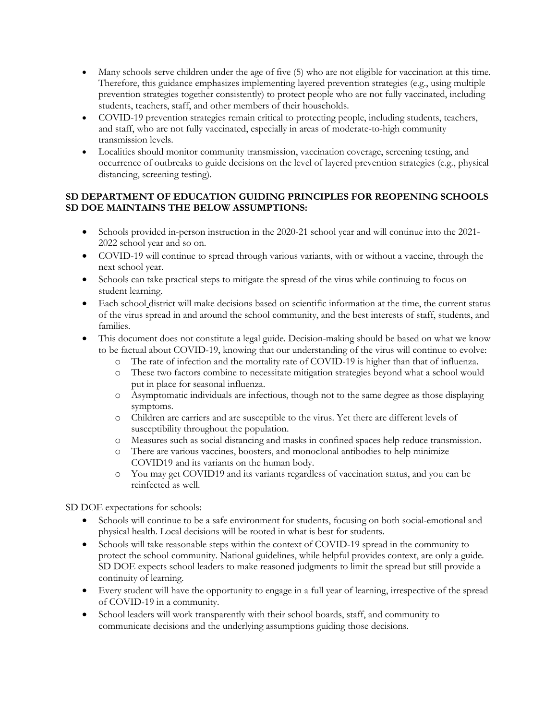- Many schools serve children under the age of five (5) who are not eligible for vaccination at this time. Therefore, this guidance emphasizes implementing layered prevention strategies (e.g., using multiple prevention strategies together consistently) to protect people who are not fully vaccinated, including students, teachers, staff, and other members of their households.
- COVID-19 prevention strategies remain critical to protecting people, including students, teachers, and staff, who are not fully vaccinated, especially in areas of moderate-to-high community transmission levels.
- Localities should monitor community transmission, vaccination coverage, screening testing, and occurrence of outbreaks to guide decisions on the level of layered prevention strategies (e.g., physical distancing, screening testing).

### **SD DEPARTMENT OF EDUCATION GUIDING PRINCIPLES FOR REOPENING SCHOOLS SD DOE MAINTAINS THE BELOW ASSUMPTIONS:**

- Schools provided in-person instruction in the 2020-21 school year and will continue into the 2021-2022 school year and so on.
- COVID-19 will continue to spread through various variants, with or without a vaccine, through the next school year.
- Schools can take practical steps to mitigate the spread of the virus while continuing to focus on student learning.
- Each school district will make decisions based on scientific information at the time, the current status of the virus spread in and around the school community, and the best interests of staff, students, and families.
- This document does not constitute a legal guide. Decision-making should be based on what we know to be factual about COVID-19, knowing that our understanding of the virus will continue to evolve:
	- o The rate of infection and the mortality rate of COVID-19 is higher than that of influenza.
	- o These two factors combine to necessitate mitigation strategies beyond what a school would put in place for seasonal influenza.
	- o Asymptomatic individuals are infectious, though not to the same degree as those displaying symptoms.
	- o Children are carriers and are susceptible to the virus. Yet there are different levels of susceptibility throughout the population.
	- o Measures such as social distancing and masks in confined spaces help reduce transmission.
	- o There are various vaccines, boosters, and monoclonal antibodies to help minimize COVID19 and its variants on the human body.
	- o You may get COVID19 and its variants regardless of vaccination status, and you can be reinfected as well.

SD DOE expectations for schools:

- Schools will continue to be a safe environment for students, focusing on both social-emotional and physical health. Local decisions will be rooted in what is best for students.
- Schools will take reasonable steps within the context of COVID-19 spread in the community to protect the school community. National guidelines, while helpful provides context, are only a guide. SD DOE expects school leaders to make reasoned judgments to limit the spread but still provide a continuity of learning.
- Every student will have the opportunity to engage in a full year of learning, irrespective of the spread of COVID-19 in a community.
- School leaders will work transparently with their school boards, staff, and community to communicate decisions and the underlying assumptions guiding those decisions.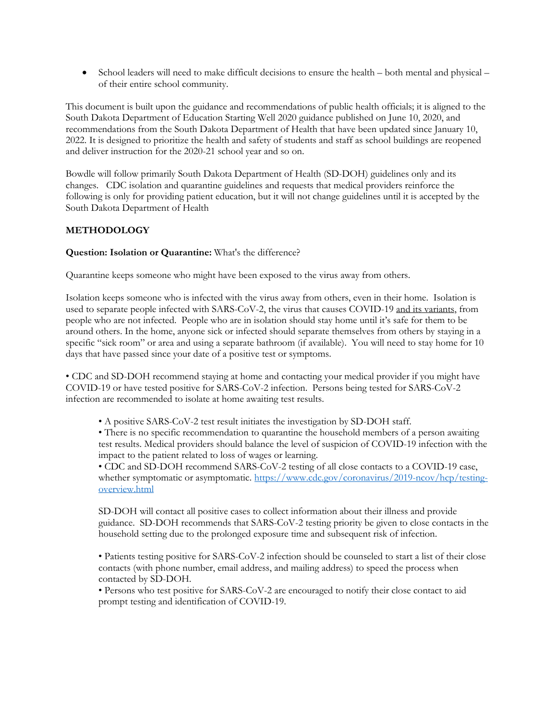• School leaders will need to make difficult decisions to ensure the health – both mental and physical – of their entire school community.

This document is built upon the guidance and recommendations of public health officials; it is aligned to the South Dakota Department of Education Starting Well 2020 guidance published on June 10, 2020, and recommendations from the South Dakota Department of Health that have been updated since January 10, 2022. It is designed to prioritize the health and safety of students and staff as school buildings are reopened and deliver instruction for the 2020-21 school year and so on.

Bowdle will follow primarily South Dakota Department of Health (SD-DOH) guidelines only and its changes. CDC isolation and quarantine guidelines and requests that medical providers reinforce the following is only for providing patient education, but it will not change guidelines until it is accepted by the South Dakota Department of Health

## **METHODOLOGY**

### **Question: Isolation or Quarantine:** What's the difference?

Quarantine keeps someone who might have been exposed to the virus away from others.

Isolation keeps someone who is infected with the virus away from others, even in their home. Isolation is used to separate people infected with SARS-CoV-2, the virus that causes COVID-19 and its variants, from people who are not infected. People who are in isolation should stay home until it's safe for them to be around others. In the home, anyone sick or infected should separate themselves from others by staying in a specific "sick room" or area and using a separate bathroom (if available). You will need to stay home for 10 days that have passed since your date of a positive test or symptoms.

• CDC and SD-DOH recommend staying at home and contacting your medical provider if you might have COVID-19 or have tested positive for SARS-CoV-2 infection. Persons being tested for SARS-CoV-2 infection are recommended to isolate at home awaiting test results.

• A positive SARS-CoV-2 test result initiates the investigation by SD-DOH staff.

• There is no specific recommendation to quarantine the household members of a person awaiting test results. Medical providers should balance the level of suspicion of COVID-19 infection with the impact to the patient related to loss of wages or learning.

• CDC and SD-DOH recommend SARS-CoV-2 testing of all close contacts to a COVID-19 case, whether symptomatic or asymptomatic. https://www.cdc.gov/coronavirus/2019-ncov/hcp/testingoverview.html

SD-DOH will contact all positive cases to collect information about their illness and provide guidance. SD-DOH recommends that SARS-CoV-2 testing priority be given to close contacts in the household setting due to the prolonged exposure time and subsequent risk of infection.

• Patients testing positive for SARS-CoV-2 infection should be counseled to start a list of their close contacts (with phone number, email address, and mailing address) to speed the process when contacted by SD-DOH.

• Persons who test positive for SARS-CoV-2 are encouraged to notify their close contact to aid prompt testing and identification of COVID-19.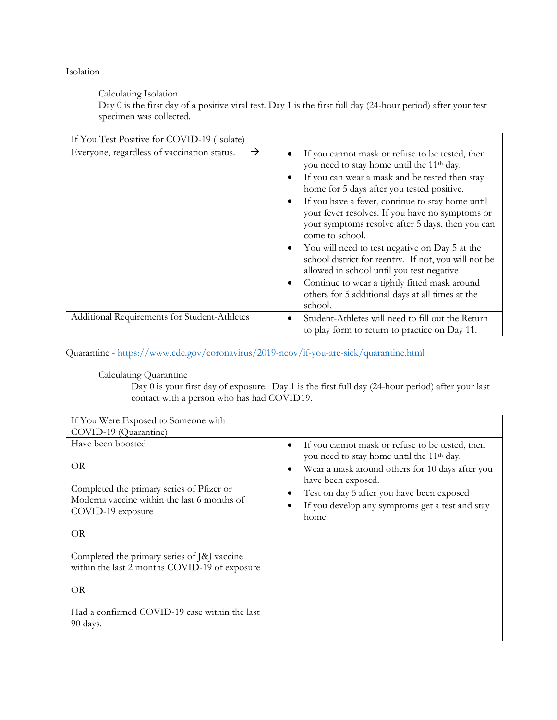Isolation

Calculating Isolation

Day 0 is the first day of a positive viral test. Day 1 is the first full day (24-hour period) after your test specimen was collected.

| If You Test Positive for COVID-19 (Isolate)                  |                                                                                                                                                                                                                                                                                                                                                                                                                                                                                                                                                                                                                                                                    |
|--------------------------------------------------------------|--------------------------------------------------------------------------------------------------------------------------------------------------------------------------------------------------------------------------------------------------------------------------------------------------------------------------------------------------------------------------------------------------------------------------------------------------------------------------------------------------------------------------------------------------------------------------------------------------------------------------------------------------------------------|
| $\rightarrow$<br>Everyone, regardless of vaccination status. | If you cannot mask or refuse to be tested, then<br>you need to stay home until the 11 <sup>th</sup> day.<br>If you can wear a mask and be tested then stay<br>٠<br>home for 5 days after you tested positive.<br>If you have a fever, continue to stay home until<br>your fever resolves. If you have no symptoms or<br>your symptoms resolve after 5 days, then you can<br>come to school.<br>You will need to test negative on Day 5 at the<br>school district for reentry. If not, you will not be<br>allowed in school until you test negative<br>Continue to wear a tightly fitted mask around<br>others for 5 additional days at all times at the<br>school. |
| Additional Requirements for Student-Athletes                 | Student-Athletes will need to fill out the Return<br>to play form to return to practice on Day 11.                                                                                                                                                                                                                                                                                                                                                                                                                                                                                                                                                                 |

Quarantine - https://www.cdc.gov/coronavirus/2019-ncov/if-you-are-sick/quarantine.html

### Calculating Quarantine

 $Day 0$  is your first day of exposure. Day 1 is the first full day (24-hour period) after your last contact with a person who has had COVID19.

| If You Were Exposed to Someone with                                                          |                                                                                                          |
|----------------------------------------------------------------------------------------------|----------------------------------------------------------------------------------------------------------|
| COVID-19 (Quarantine)                                                                        |                                                                                                          |
| Have been boosted                                                                            | If you cannot mask or refuse to be tested, then<br>you need to stay home until the 11 <sup>th</sup> day. |
| OR<br>Completed the primary series of Pfizer or                                              | Wear a mask around others for 10 days after you<br>have been exposed.                                    |
| Moderna vaccine within the last 6 months of                                                  | Test on day 5 after you have been exposed                                                                |
| COVID-19 exposure                                                                            | If you develop any symptoms get a test and stay<br>home.                                                 |
| OR                                                                                           |                                                                                                          |
| Completed the primary series of [&] vaccine<br>within the last 2 months COVID-19 of exposure |                                                                                                          |
| OR                                                                                           |                                                                                                          |
| Had a confirmed COVID-19 case within the last<br>90 days.                                    |                                                                                                          |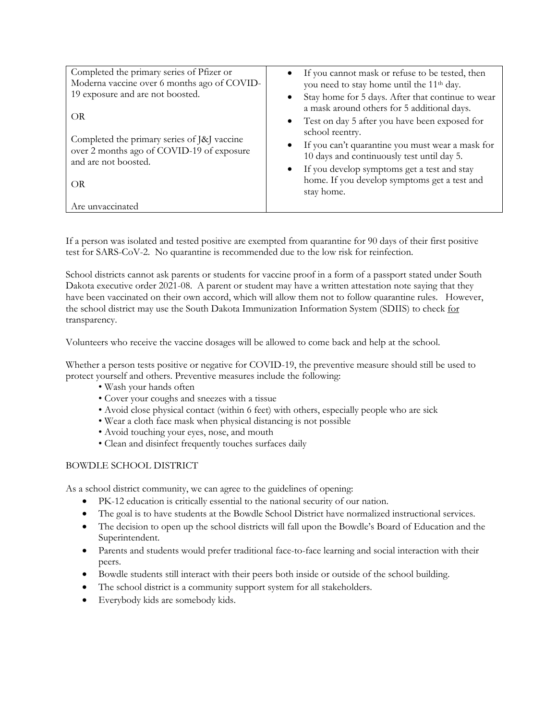| Completed the primary series of Pfizer or<br>Moderna vaccine over 6 months ago of COVID-<br>19 exposure and are not boosted.        | If you cannot mask or refuse to be tested, then<br>٠<br>you need to stay home until the 11 <sup>th</sup> day.                                                                                                                                                                                                                                                                                                                   |
|-------------------------------------------------------------------------------------------------------------------------------------|---------------------------------------------------------------------------------------------------------------------------------------------------------------------------------------------------------------------------------------------------------------------------------------------------------------------------------------------------------------------------------------------------------------------------------|
| OR<br>Completed the primary series of J&J vaccine<br>over 2 months ago of COVID-19 of exposure<br>and are not boosted.<br><b>OR</b> | Stay home for 5 days. After that continue to wear<br>$\bullet$<br>a mask around others for 5 additional days.<br>Test on day 5 after you have been exposed for<br>$\bullet$<br>school reentry.<br>If you can't quarantine you must wear a mask for<br>٠<br>10 days and continuously test until day 5.<br>If you develop symptoms get a test and stay<br>$\bullet$<br>home. If you develop symptoms get a test and<br>stay home. |
| Are unvaccinated                                                                                                                    |                                                                                                                                                                                                                                                                                                                                                                                                                                 |

If a person was isolated and tested positive are exempted from quarantine for 90 days of their first positive test for SARS-CoV-2. No quarantine is recommended due to the low risk for reinfection.

School districts cannot ask parents or students for vaccine proof in a form of a passport stated under South Dakota executive order 2021-08. A parent or student may have a written attestation note saying that they have been vaccinated on their own accord, which will allow them not to follow quarantine rules. However, the school district may use the South Dakota Immunization Information System (SDIIS) to check for transparency.

Volunteers who receive the vaccine dosages will be allowed to come back and help at the school.

Whether a person tests positive or negative for COVID-19, the preventive measure should still be used to protect yourself and others. Preventive measures include the following:

- Wash your hands often
- Cover your coughs and sneezes with a tissue
- Avoid close physical contact (within 6 feet) with others, especially people who are sick
- Wear a cloth face mask when physical distancing is not possible
- Avoid touching your eyes, nose, and mouth
- Clean and disinfect frequently touches surfaces daily

### BOWDLE SCHOOL DISTRICT

As a school district community, we can agree to the guidelines of opening:

- PK-12 education is critically essential to the national security of our nation.
- The goal is to have students at the Bowdle School District have normalized instructional services.
- The decision to open up the school districts will fall upon the Bowdle's Board of Education and the Superintendent.
- Parents and students would prefer traditional face-to-face learning and social interaction with their peers.
- Bowdle students still interact with their peers both inside or outside of the school building.
- The school district is a community support system for all stakeholders.
- Everybody kids are somebody kids.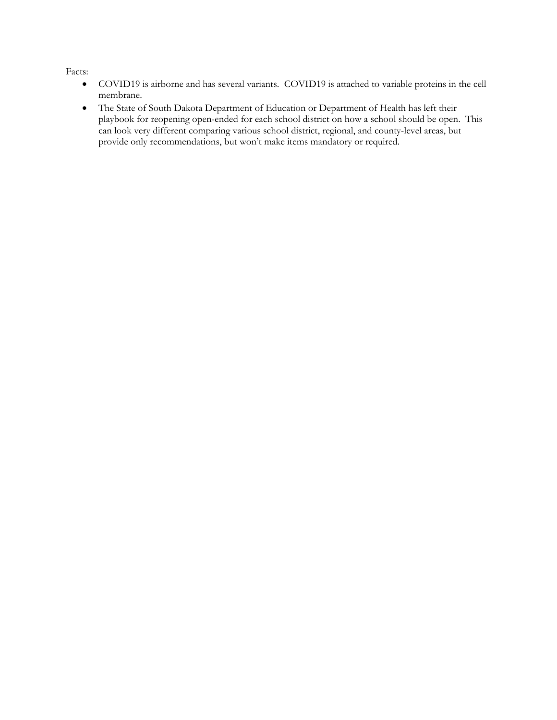Facts:

- COVID19 is airborne and has several variants. COVID19 is attached to variable proteins in the cell membrane.
- The State of South Dakota Department of Education or Department of Health has left their playbook for reopening open-ended for each school district on how a school should be open. This can look very different comparing various school district, regional, and county-level areas, but provide only recommendations, but won't make items mandatory or required.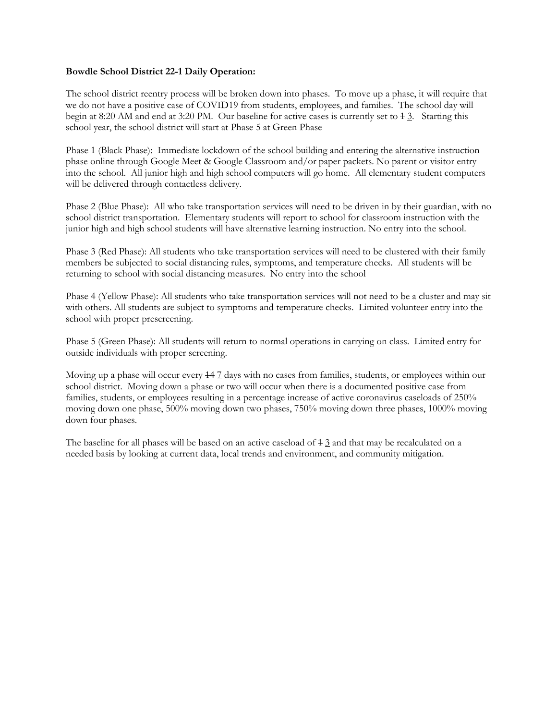#### **Bowdle School District 22-1 Daily Operation:**

The school district reentry process will be broken down into phases. To move up a phase, it will require that we do not have a positive case of COVID19 from students, employees, and families. The school day will begin at 8:20 AM and end at 3:20 PM. Our baseline for active cases is currently set to  $\frac{1}{2}$ . Starting this school year, the school district will start at Phase 5 at Green Phase

Phase 1 (Black Phase): Immediate lockdown of the school building and entering the alternative instruction phase online through Google Meet & Google Classroom and/or paper packets. No parent or visitor entry into the school. All junior high and high school computers will go home. All elementary student computers will be delivered through contactless delivery.

Phase 2 (Blue Phase): All who take transportation services will need to be driven in by their guardian, with no school district transportation. Elementary students will report to school for classroom instruction with the junior high and high school students will have alternative learning instruction. No entry into the school.

Phase 3 (Red Phase): All students who take transportation services will need to be clustered with their family members be subjected to social distancing rules, symptoms, and temperature checks. All students will be returning to school with social distancing measures. No entry into the school

Phase 4 (Yellow Phase): All students who take transportation services will not need to be a cluster and may sit with others. All students are subject to symptoms and temperature checks. Limited volunteer entry into the school with proper prescreening.

Phase 5 (Green Phase): All students will return to normal operations in carrying on class. Limited entry for outside individuals with proper screening.

Moving up a phase will occur every  $44 \text{ Z}$  days with no cases from families, students, or employees within our school district. Moving down a phase or two will occur when there is a documented positive case from families, students, or employees resulting in a percentage increase of active coronavirus caseloads of 250% moving down one phase, 500% moving down two phases, 750% moving down three phases, 1000% moving down four phases.

The baseline for all phases will be based on an active caseload of  $4.3$  and that may be recalculated on a needed basis by looking at current data, local trends and environment, and community mitigation.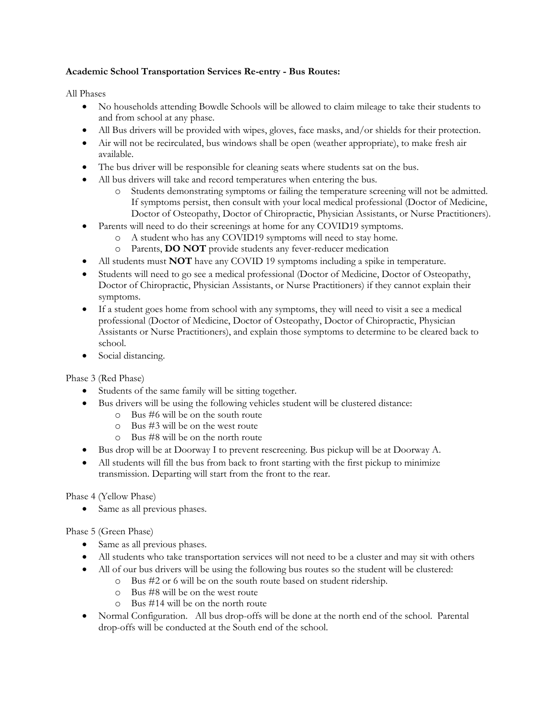### **Academic School Transportation Services Re-entry - Bus Routes:**

All Phases

- No households attending Bowdle Schools will be allowed to claim mileage to take their students to and from school at any phase.
- All Bus drivers will be provided with wipes, gloves, face masks, and/or shields for their protection.
- Air will not be recirculated, bus windows shall be open (weather appropriate), to make fresh air available.
- The bus driver will be responsible for cleaning seats where students sat on the bus.
- All bus drivers will take and record temperatures when entering the bus.
	- o Students demonstrating symptoms or failing the temperature screening will not be admitted. If symptoms persist, then consult with your local medical professional (Doctor of Medicine, Doctor of Osteopathy, Doctor of Chiropractic, Physician Assistants, or Nurse Practitioners).
- Parents will need to do their screenings at home for any COVID19 symptoms.
	- o A student who has any COVID19 symptoms will need to stay home.
	- o Parents, **DO NOT** provide students any fever-reducer medication
- All students must **NOT** have any COVID 19 symptoms including a spike in temperature.
- Students will need to go see a medical professional (Doctor of Medicine, Doctor of Osteopathy, Doctor of Chiropractic, Physician Assistants, or Nurse Practitioners) if they cannot explain their symptoms.
- If a student goes home from school with any symptoms, they will need to visit a see a medical professional (Doctor of Medicine, Doctor of Osteopathy, Doctor of Chiropractic, Physician Assistants or Nurse Practitioners), and explain those symptoms to determine to be cleared back to school.
- Social distancing.

Phase 3 (Red Phase)

- Students of the same family will be sitting together.
- Bus drivers will be using the following vehicles student will be clustered distance:
	- o Bus #6 will be on the south route
	- o Bus #3 will be on the west route
	- o Bus #8 will be on the north route
- Bus drop will be at Doorway I to prevent rescreening. Bus pickup will be at Doorway A.
- All students will fill the bus from back to front starting with the first pickup to minimize transmission. Departing will start from the front to the rear.

Phase 4 (Yellow Phase)

• Same as all previous phases.

Phase 5 (Green Phase)

- Same as all previous phases.
- All students who take transportation services will not need to be a cluster and may sit with others
- All of our bus drivers will be using the following bus routes so the student will be clustered:
	- o Bus #2 or 6 will be on the south route based on student ridership.
		- o Bus #8 will be on the west route
		- o Bus #14 will be on the north route
- Normal Configuration. All bus drop-offs will be done at the north end of the school. Parental drop-offs will be conducted at the South end of the school.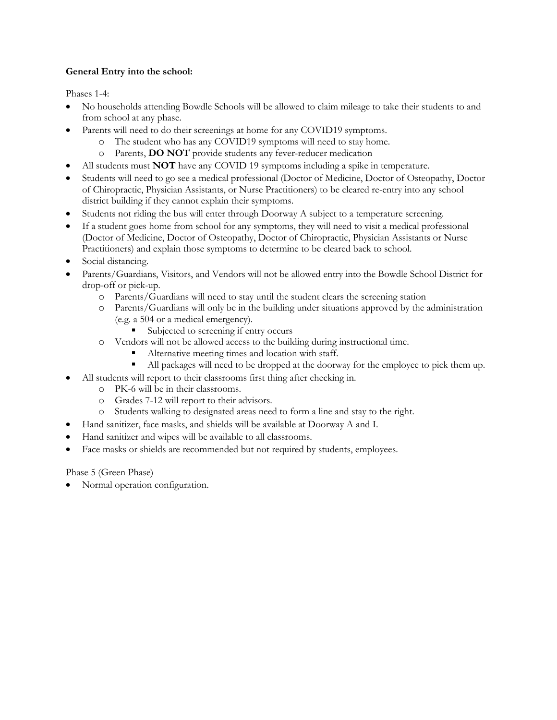## **General Entry into the school:**

Phases 1-4:

- No households attending Bowdle Schools will be allowed to claim mileage to take their students to and from school at any phase.
- Parents will need to do their screenings at home for any COVID19 symptoms.
	- o The student who has any COVID19 symptoms will need to stay home.
		- o Parents, **DO NOT** provide students any fever-reducer medication
- All students must **NOT** have any COVID 19 symptoms including a spike in temperature.
- Students will need to go see a medical professional (Doctor of Medicine, Doctor of Osteopathy, Doctor of Chiropractic, Physician Assistants, or Nurse Practitioners) to be cleared re-entry into any school district building if they cannot explain their symptoms.
- Students not riding the bus will enter through Doorway A subject to a temperature screening.
- If a student goes home from school for any symptoms, they will need to visit a medical professional (Doctor of Medicine, Doctor of Osteopathy, Doctor of Chiropractic, Physician Assistants or Nurse Practitioners) and explain those symptoms to determine to be cleared back to school.
- Social distancing.
- Parents/Guardians, Visitors, and Vendors will not be allowed entry into the Bowdle School District for drop-off or pick-up.
	- o Parents/Guardians will need to stay until the student clears the screening station
	- o Parents/Guardians will only be in the building under situations approved by the administration (e.g. a 504 or a medical emergency).
		- Subjected to screening if entry occurs
	- o Vendors will not be allowed access to the building during instructional time.
		- Alternative meeting times and location with staff.
			- All packages will need to be dropped at the doorway for the employee to pick them up.
- All students will report to their classrooms first thing after checking in.
	- o PK-6 will be in their classrooms.
	- o Grades 7-12 will report to their advisors.
	- o Students walking to designated areas need to form a line and stay to the right.
- Hand sanitizer, face masks, and shields will be available at Doorway A and I.
- Hand sanitizer and wipes will be available to all classrooms.
- Face masks or shields are recommended but not required by students, employees.

Phase 5 (Green Phase)

• Normal operation configuration.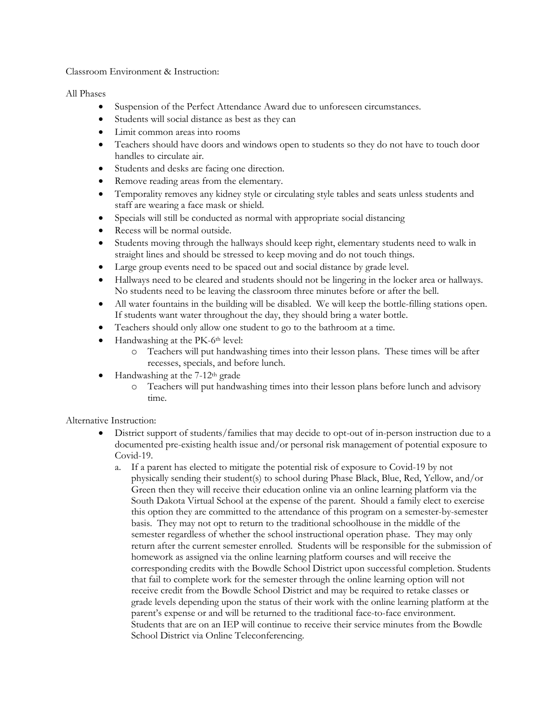Classroom Environment & Instruction:

All Phases

- Suspension of the Perfect Attendance Award due to unforeseen circumstances.
- Students will social distance as best as they can
- Limit common areas into rooms
- Teachers should have doors and windows open to students so they do not have to touch door handles to circulate air.
- Students and desks are facing one direction.
- Remove reading areas from the elementary.
- Temporality removes any kidney style or circulating style tables and seats unless students and staff are wearing a face mask or shield.
- Specials will still be conducted as normal with appropriate social distancing
- Recess will be normal outside.
- Students moving through the hallways should keep right, elementary students need to walk in straight lines and should be stressed to keep moving and do not touch things.
- Large group events need to be spaced out and social distance by grade level.
- Hallways need to be cleared and students should not be lingering in the locker area or hallways. No students need to be leaving the classroom three minutes before or after the bell.
- All water fountains in the building will be disabled. We will keep the bottle-filling stations open. If students want water throughout the day, they should bring a water bottle.
- Teachers should only allow one student to go to the bathroom at a time.
- Handwashing at the PK-6<sup>th</sup> level:
	- o Teachers will put handwashing times into their lesson plans. These times will be after recesses, specials, and before lunch.
- Handwashing at the 7-12th grade
	- o Teachers will put handwashing times into their lesson plans before lunch and advisory time.

Alternative Instruction:

- District support of students/families that may decide to opt-out of in-person instruction due to a documented pre-existing health issue and/or personal risk management of potential exposure to Covid-19.
	- a. If a parent has elected to mitigate the potential risk of exposure to Covid-19 by not physically sending their student(s) to school during Phase Black, Blue, Red, Yellow, and/or Green then they will receive their education online via an online learning platform via the South Dakota Virtual School at the expense of the parent. Should a family elect to exercise this option they are committed to the attendance of this program on a semester-by-semester basis. They may not opt to return to the traditional schoolhouse in the middle of the semester regardless of whether the school instructional operation phase. They may only return after the current semester enrolled. Students will be responsible for the submission of homework as assigned via the online learning platform courses and will receive the corresponding credits with the Bowdle School District upon successful completion. Students that fail to complete work for the semester through the online learning option will not receive credit from the Bowdle School District and may be required to retake classes or grade levels depending upon the status of their work with the online learning platform at the parent's expense or and will be returned to the traditional face-to-face environment. Students that are on an IEP will continue to receive their service minutes from the Bowdle School District via Online Teleconferencing.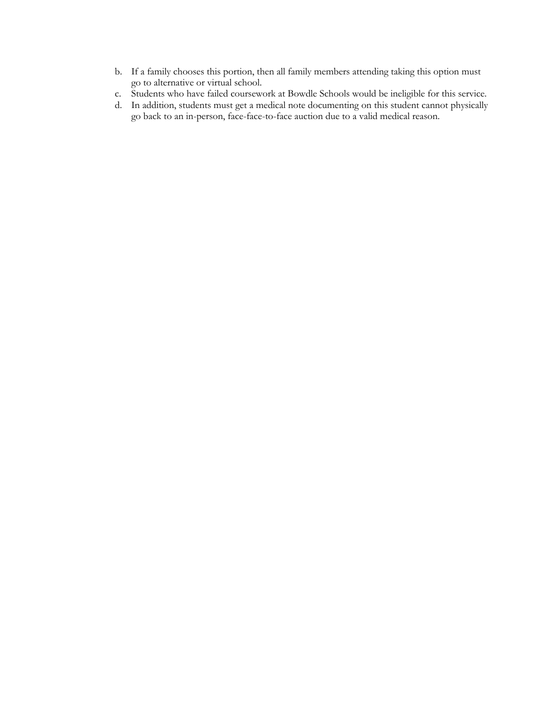- b. If a family chooses this portion, then all family members attending taking this option must go to alternative or virtual school.
- c. Students who have failed coursework at Bowdle Schools would be ineligible for this service.
- d. In addition, students must get a medical note documenting on this student cannot physically go back to an in-person, face-face-to-face auction due to a valid medical reason.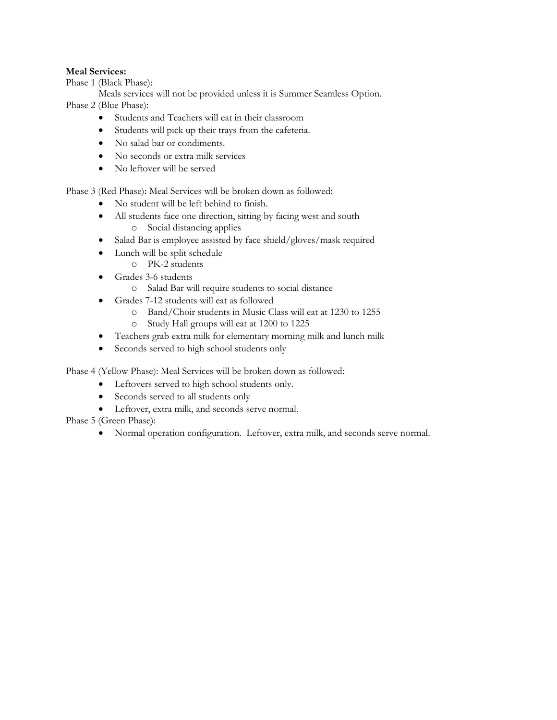### **Meal Services:**

Phase 1 (Black Phase):

Meals services will not be provided unless it is Summer Seamless Option. Phase 2 (Blue Phase):

- Students and Teachers will eat in their classroom
- Students will pick up their trays from the cafeteria.
- No salad bar or condiments.
- No seconds or extra milk services
- No leftover will be served

Phase 3 (Red Phase): Meal Services will be broken down as followed:

- No student will be left behind to finish.
- All students face one direction, sitting by facing west and south o Social distancing applies
- Salad Bar is employee assisted by face shield/gloves/mask required
- Lunch will be split schedule
	- o PK-2 students
- Grades 3-6 students
	- o Salad Bar will require students to social distance
- Grades 7-12 students will eat as followed
	- o Band/Choir students in Music Class will eat at 1230 to 1255
	- o Study Hall groups will eat at 1200 to 1225
- Teachers grab extra milk for elementary morning milk and lunch milk
- Seconds served to high school students only

Phase 4 (Yellow Phase): Meal Services will be broken down as followed:

- Leftovers served to high school students only.
- Seconds served to all students only
- Leftover, extra milk, and seconds serve normal.

Phase 5 (Green Phase):

• Normal operation configuration. Leftover, extra milk, and seconds serve normal.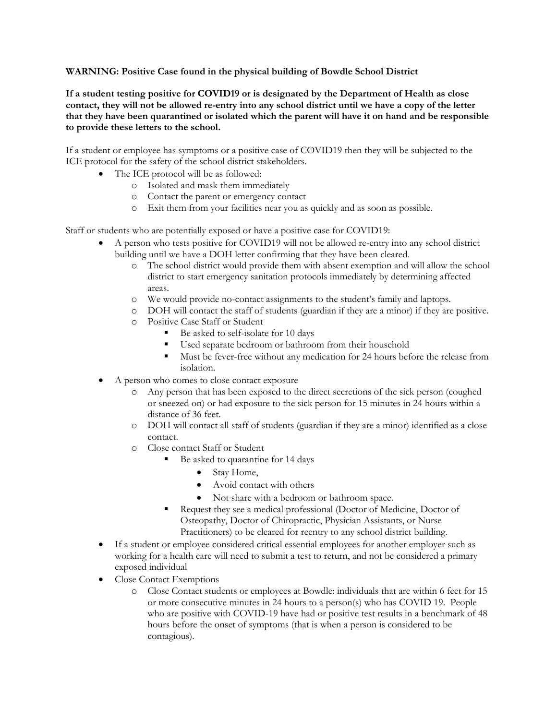#### **WARNING: Positive Case found in the physical building of Bowdle School District**

**If a student testing positive for COVID19 or is designated by the Department of Health as close contact, they will not be allowed re-entry into any school district until we have a copy of the letter that they have been quarantined or isolated which the parent will have it on hand and be responsible to provide these letters to the school.**

If a student or employee has symptoms or a positive case of COVID19 then they will be subjected to the ICE protocol for the safety of the school district stakeholders.

- The ICE protocol will be as followed:
	- o Isolated and mask them immediately
	- o Contact the parent or emergency contact
	- o Exit them from your facilities near you as quickly and as soon as possible.

Staff or students who are potentially exposed or have a positive case for COVID19:

- A person who tests positive for COVID19 will not be allowed re-entry into any school district building until we have a DOH letter confirming that they have been cleared.
	- o The school district would provide them with absent exemption and will allow the school district to start emergency sanitation protocols immediately by determining affected areas.
	- o We would provide no-contact assignments to the student's family and laptops.
	- o DOH will contact the staff of students (guardian if they are a minor) if they are positive.
	- o Positive Case Staff or Student
		- § Be asked to self-isolate for 10 days
		- Used separate bedroom or bathroom from their household
		- Must be fever-free without any medication for 24 hours before the release from isolation.
- A person who comes to close contact exposure
	- o Any person that has been exposed to the direct secretions of the sick person (coughed or sneezed on) or had exposure to the sick person for 15 minutes in 24 hours within a distance of 36 feet.
	- o DOH will contact all staff of students (guardian if they are a minor) identified as a close contact.
	- o Close contact Staff or Student
		- § Be asked to quarantine for 14 days
			- Stay Home,
			- Avoid contact with others
			- Not share with a bedroom or bathroom space.
			- § Request they see a medical professional (Doctor of Medicine, Doctor of Osteopathy, Doctor of Chiropractic, Physician Assistants, or Nurse Practitioners) to be cleared for reentry to any school district building.
- If a student or employee considered critical essential employees for another employer such as working for a health care will need to submit a test to return, and not be considered a primary exposed individual
- Close Contact Exemptions
	- o Close Contact students or employees at Bowdle: individuals that are within 6 feet for 15 or more consecutive minutes in 24 hours to a person(s) who has COVID 19. People who are positive with COVID-19 have had or positive test results in a benchmark of 48 hours before the onset of symptoms (that is when a person is considered to be contagious).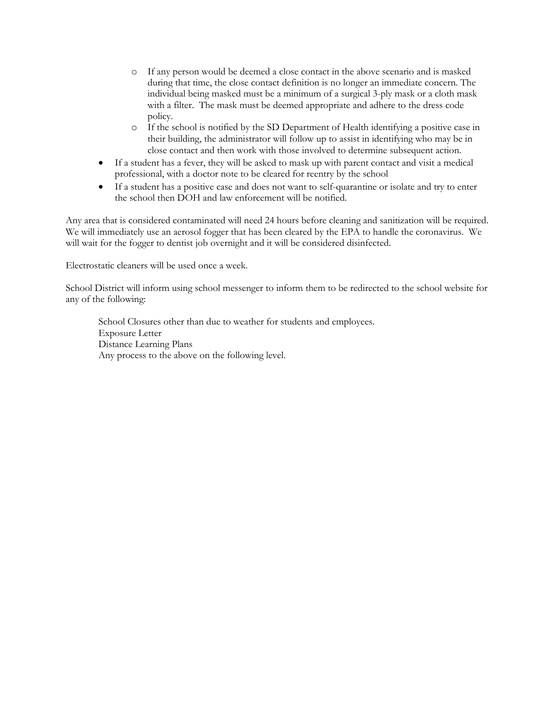- o If any person would be deemed a close contact in the above scenario and is masked during that time, the close contact definition is no longer an immediate concern. The individual being masked must be a minimum of a surgical 3-ply mask or a cloth mask with a filter. The mask must be deemed appropriate and adhere to the dress code policy.
- o If the school is notified by the SD Department of Health identifying a positive case in their building, the administrator will follow up to assist in identifying who may be in close contact and then work with those involved to determine subsequent action.
- If a student has a fever, they will be asked to mask up with parent contact and visit a medical professional, with a doctor note to be cleared for reentry by the school
- If a student has a positive case and does not want to self-quarantine or isolate and try to enter the school then DOH and law enforcement will be notified.

Any area that is considered contaminated will need 24 hours before cleaning and sanitization will be required. We will immediately use an aerosol fogger that has been cleared by the EPA to handle the coronavirus. We will wait for the fogger to dentist job overnight and it will be considered disinfected.

Electrostatic cleaners will be used once a week.

School District will inform using school messenger to inform them to be redirected to the school website for any of the following:

School Closures other than due to weather for students and employees. Exposure Letter Distance Learning Plans Any process to the above on the following level.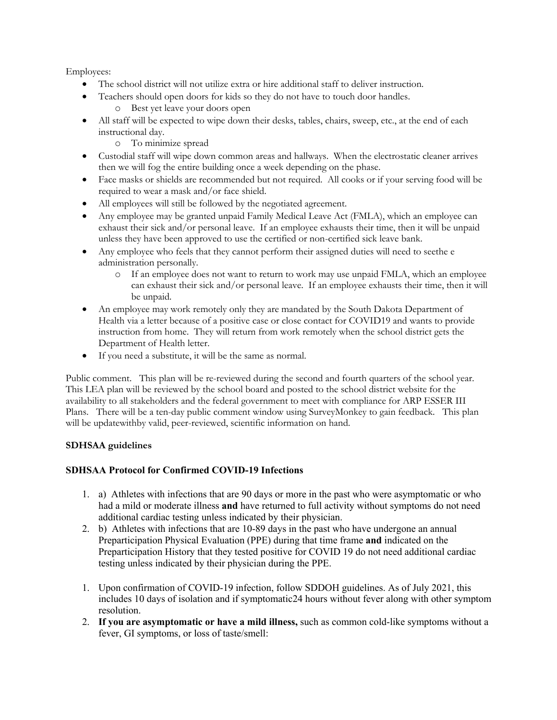Employees:

- The school district will not utilize extra or hire additional staff to deliver instruction.
- Teachers should open doors for kids so they do not have to touch door handles.
	- o Best yet leave your doors open
- All staff will be expected to wipe down their desks, tables, chairs, sweep, etc., at the end of each instructional day.
	- o To minimize spread
- Custodial staff will wipe down common areas and hallways. When the electrostatic cleaner arrives then we will fog the entire building once a week depending on the phase.
- Face masks or shields are recommended but not required. All cooks or if your serving food will be required to wear a mask and/or face shield.
- All employees will still be followed by the negotiated agreement.
- Any employee may be granted unpaid Family Medical Leave Act (FMLA), which an employee can exhaust their sick and/or personal leave. If an employee exhausts their time, then it will be unpaid unless they have been approved to use the certified or non-certified sick leave bank.
- Any employee who feels that they cannot perform their assigned duties will need to seethe e administration personally.
	- o If an employee does not want to return to work may use unpaid FMLA, which an employee can exhaust their sick and/or personal leave. If an employee exhausts their time, then it will be unpaid.
- An employee may work remotely only they are mandated by the South Dakota Department of Health via a letter because of a positive case or close contact for COVID19 and wants to provide instruction from home. They will return from work remotely when the school district gets the Department of Health letter.
- If you need a substitute, it will be the same as normal.

Public comment. This plan will be re-reviewed during the second and fourth quarters of the school year. This LEA plan will be reviewed by the school board and posted to the school district website for the availability to all stakeholders and the federal government to meet with compliance for ARP ESSER III Plans. There will be a ten-day public comment window using SurveyMonkey to gain feedback. This plan will be updatewithby valid, peer-reviewed, scientific information on hand.

## **SDHSAA guidelines**

## **SDHSAA Protocol for Confirmed COVID-19 Infections**

- 1. a) Athletes with infections that are 90 days or more in the past who were asymptomatic or who had a mild or moderate illness **and** have returned to full activity without symptoms do not need additional cardiac testing unless indicated by their physician.
- 2. b) Athletes with infections that are 10-89 days in the past who have undergone an annual Preparticipation Physical Evaluation (PPE) during that time frame **and** indicated on the Preparticipation History that they tested positive for COVID 19 do not need additional cardiac testing unless indicated by their physician during the PPE.
- 1. Upon confirmation of COVID-19 infection, follow SDDOH guidelines. As of July 2021, this includes 10 days of isolation and if symptomatic24 hours without fever along with other symptom resolution.
- 2. **If you are asymptomatic or have a mild illness,** such as common cold-like symptoms without a fever, GI symptoms, or loss of taste/smell: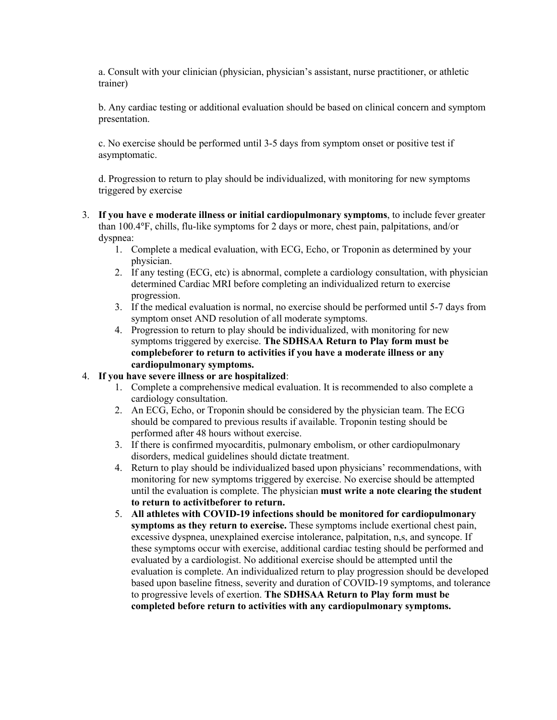a. Consult with your clinician (physician, physician's assistant, nurse practitioner, or athletic trainer)

b. Any cardiac testing or additional evaluation should be based on clinical concern and symptom presentation.

c. No exercise should be performed until 3-5 days from symptom onset or positive test if asymptomatic.

d. Progression to return to play should be individualized, with monitoring for new symptoms triggered by exercise

- 3. **If you have e moderate illness or initial cardiopulmonary symptoms**, to include fever greater than 100.4°F, chills, flu-like symptoms for 2 days or more, chest pain, palpitations, and/or dyspnea:
	- 1. Complete a medical evaluation, with ECG, Echo, or Troponin as determined by your physician.
	- 2. If any testing (ECG, etc) is abnormal, complete a cardiology consultation, with physician determined Cardiac MRI before completing an individualized return to exercise progression.
	- 3. If the medical evaluation is normal, no exercise should be performed until 5-7 days from symptom onset AND resolution of all moderate symptoms.
	- 4. Progression to return to play should be individualized, with monitoring for new symptoms triggered by exercise. **The SDHSAA Return to Play form must be complebeforer to return to activities if you have a moderate illness or any cardiopulmonary symptoms.**

### 4. **If you have severe illness or are hospitalized**:

- 1. Complete a comprehensive medical evaluation. It is recommended to also complete a cardiology consultation.
- 2. An ECG, Echo, or Troponin should be considered by the physician team. The ECG should be compared to previous results if available. Troponin testing should be performed after 48 hours without exercise.
- 3. If there is confirmed myocarditis, pulmonary embolism, or other cardiopulmonary disorders, medical guidelines should dictate treatment.
- 4. Return to play should be individualized based upon physicians' recommendations, with monitoring for new symptoms triggered by exercise. No exercise should be attempted until the evaluation is complete. The physician **must write a note clearing the student to return to activitbeforer to return.**
- 5. **All athletes with COVID-19 infections should be monitored for cardiopulmonary symptoms as they return to exercise.** These symptoms include exertional chest pain, excessive dyspnea, unexplained exercise intolerance, palpitation, n,s, and syncope. If these symptoms occur with exercise, additional cardiac testing should be performed and evaluated by a cardiologist. No additional exercise should be attempted until the evaluation is complete. An individualized return to play progression should be developed based upon baseline fitness, severity and duration of COVID-19 symptoms, and tolerance to progressive levels of exertion. **The SDHSAA Return to Play form must be completed before return to activities with any cardiopulmonary symptoms.**